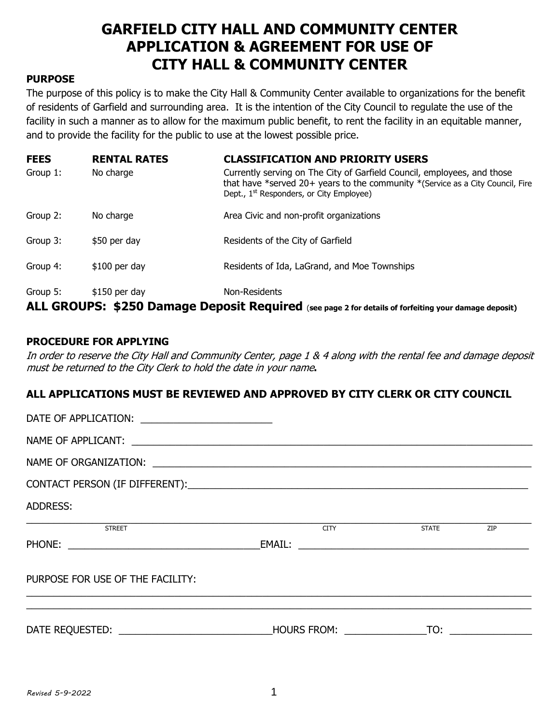# **GARFIELD CITY HALL AND COMMUNITY CENTER APPLICATION & AGREEMENT FOR USE OF CITY HALL & COMMUNITY CENTER**

#### **PURPOSE**

The purpose of this policy is to make the City Hall & Community Center available to organizations for the benefit of residents of Garfield and surrounding area. It is the intention of the City Council to regulate the use of the facility in such a manner as to allow for the maximum public benefit, to rent the facility in an equitable manner, and to provide the facility for the public to use at the lowest possible price.

| <b>FEES</b>                                                                                          | <b>RENTAL RATES</b> | <b>CLASSIFICATION AND PRIORITY USERS</b>                                                                                                                                                                          |  |  |  |  |
|------------------------------------------------------------------------------------------------------|---------------------|-------------------------------------------------------------------------------------------------------------------------------------------------------------------------------------------------------------------|--|--|--|--|
| Group 1:                                                                                             | No charge           | Currently serving on The City of Garfield Council, employees, and those<br>that have *served 20+ years to the community *(Service as a City Council, Fire<br>Dept., 1 <sup>st</sup> Responders, or City Employee) |  |  |  |  |
| Group 2:                                                                                             | No charge           | Area Civic and non-profit organizations                                                                                                                                                                           |  |  |  |  |
| Group 3:                                                                                             | \$50 per day        | Residents of the City of Garfield                                                                                                                                                                                 |  |  |  |  |
| Group 4:                                                                                             | $$100$ per day      | Residents of Ida, LaGrand, and Moe Townships                                                                                                                                                                      |  |  |  |  |
| Group 5:                                                                                             | $$150$ per day      | Non-Residents                                                                                                                                                                                                     |  |  |  |  |
| ALL GROUPS: \$250 Damage Deposit Required (see page 2 for details of forfeiting your damage deposit) |                     |                                                                                                                                                                                                                   |  |  |  |  |

#### **PROCEDURE FOR APPLYING**

In order to reserve the City Hall and Community Center, page 1 & 4 along with the rental fee and damage deposit must be returned to the City Clerk to hold the date in your name**.** 

### **ALL APPLICATIONS MUST BE REVIEWED AND APPROVED BY CITY CLERK OR CITY COUNCIL**

| ADDRESS:                         |  |                |  |  |  |  |  |  |  |
|----------------------------------|--|----------------|--|--|--|--|--|--|--|
| STREET                           |  | CITY STATE ZIP |  |  |  |  |  |  |  |
|                                  |  |                |  |  |  |  |  |  |  |
| PURPOSE FOR USE OF THE FACILITY: |  |                |  |  |  |  |  |  |  |
|                                  |  |                |  |  |  |  |  |  |  |
|                                  |  |                |  |  |  |  |  |  |  |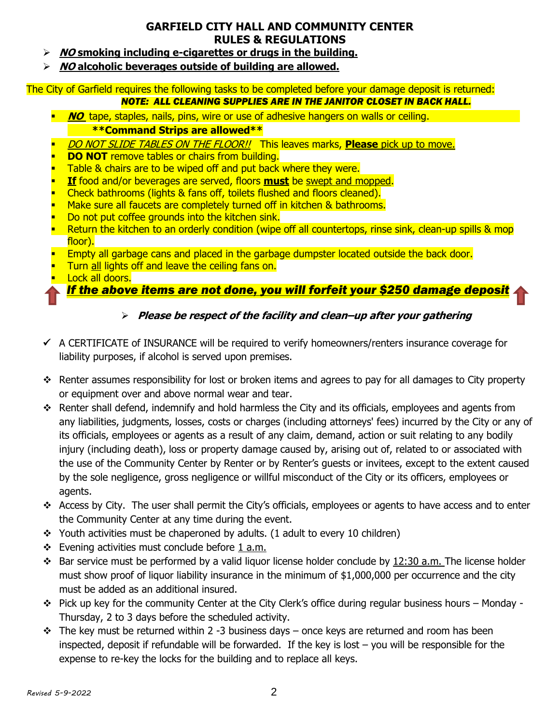### **GARFIELD CITY HALL AND COMMUNITY CENTER RULES & REGULATIONS**

- **NO smoking including e-cigarettes or drugs in the building.**
- **NO alcoholic beverages outside of building are allowed.**

#### The City of Garfield requires the following tasks to be completed before your damage deposit is returned: *NOTE: ALL CLEANING SUPPLIES ARE IN THE JANITOR CLOSET IN BACK HALL.*

- **NO** tape, staples, nails, pins, wire or use of adhesive hangers on walls or ceiling. **\*\*Command Strips are allowed\*\***
- DO NOT SLIDE TABLES ON THE FLOOR!! This leaves marks, **Please** pick up to move.
- **DO NOT** remove tables or chairs from building.
- Table & chairs are to be wiped off and put back where they were.
- **If** food and/or beverages are served, floors **must** be swept and mopped.
- Check bathrooms (lights & fans off, toilets flushed and floors cleaned).
- Make sure all faucets are completely turned off in kitchen & bathrooms.
- Do not put coffee grounds into the kitchen sink.
- Return the kitchen to an orderly condition (wipe off all countertops, rinse sink, clean-up spills & mop floor).
- Empty all garbage cans and placed in the garbage dumpster located outside the back door.
- Turn all lights off and leave the ceiling fans on.
- Lock all doors.

## *If the above items are not done, you will forfeit your \$250 damage deposit*

### **Please be respect of the facility and clean–up after your gathering**

- $\checkmark$  A CERTIFICATE of INSURANCE will be required to verify homeowners/renters insurance coverage for liability purposes, if alcohol is served upon premises.
- Renter assumes responsibility for lost or broken items and agrees to pay for all damages to City property or equipment over and above normal wear and tear.
- $\cdot \cdot$  Renter shall defend, indemnify and hold harmless the City and its officials, employees and agents from any liabilities, judgments, losses, costs or charges (including attorneys' fees) incurred by the City or any of its officials, employees or agents as a result of any claim, demand, action or suit relating to any bodily injury (including death), loss or property damage caused by, arising out of, related to or associated with the use of the Community Center by Renter or by Renter's guests or invitees, except to the extent caused by the sole negligence, gross negligence or willful misconduct of the City or its officers, employees or agents.
- Access by City. The user shall permit the City's officials, employees or agents to have access and to enter the Community Center at any time during the event.
- $\div$  Youth activities must be chaperoned by adults. (1 adult to every 10 children)
- $\div$  Evening activities must conclude before 1 a.m.
- $\cdot \cdot$  Bar service must be performed by a valid liquor license holder conclude by 12:30 a.m. The license holder must show proof of liquor liability insurance in the minimum of \$1,000,000 per occurrence and the city must be added as an additional insured.
- \* Pick up key for the community Center at the City Clerk's office during regular business hours Monday -Thursday, 2 to 3 days before the scheduled activity.
- $\div$  The key must be returned within 2 -3 business days once keys are returned and room has been inspected, deposit if refundable will be forwarded. If the key is lost – you will be responsible for the expense to re-key the locks for the building and to replace all keys.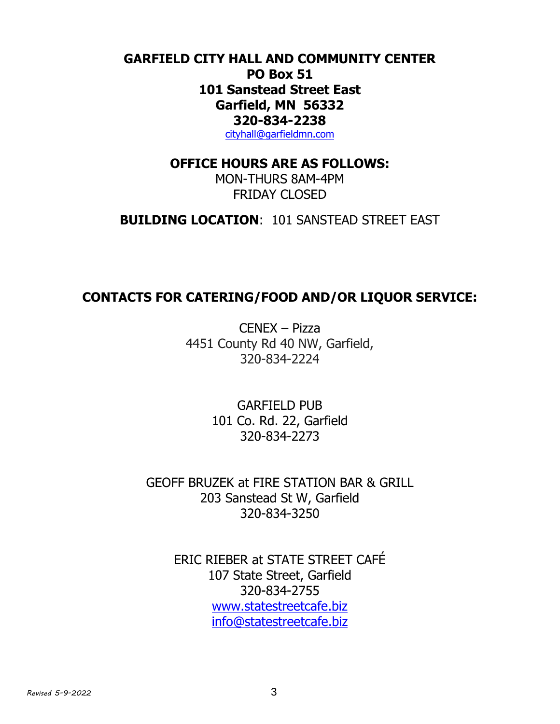# **GARFIELD CITY HALL AND COMMUNITY CENTER PO Box 51 101 Sanstead Street East Garfield, MN 56332 320-834-2238**

[cityhall@garfieldmn.com](mailto:cityhall@garfieldmn.com)

### **OFFICE HOURS ARE AS FOLLOWS:**

MON-THURS 8AM-4PM FRIDAY CLOSED

**BUILDING LOCATION**: 101 SANSTEAD STREET EAST

## **CONTACTS FOR CATERING/FOOD AND/OR LIQUOR SERVICE:**

CENEX – Pizza 4451 County Rd 40 NW, Garfield, 320-834-2224

> GARFIELD PUB 101 Co. Rd. 22, Garfield 320-834-2273

GEOFF BRUZEK at FIRE STATION BAR & GRILL 203 Sanstead St W, Garfield 320-834-3250

ERIC RIEBER at STATE STREET CAFÉ 107 State Street, Garfield 320-834-2755 [www.statestreetcafe.biz](http://www.statestreetcafe.biz/) [info@statestreetcafe.biz](mailto:info@statestreetcafe.biz)